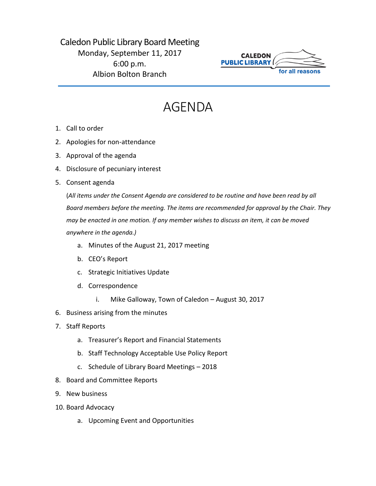## Caledon Public Library Board Meeting Monday, September 11, 2017 6:00 p.m. Albion Bolton Branch



## AGENDA

- 1. Call to order
- 2. Apologies for non-attendance
- 3. Approval of the agenda
- 4. Disclosure of pecuniary interest
- 5. Consent agenda

(*All items under the Consent Agenda are considered to be routine and have been read by all Board members before the meeting. The items are recommended for approval by the Chair. They may be enacted in one motion. If any member wishes to discuss an item, it can be moved anywhere in the agenda.)*

- a. Minutes of the August 21, 2017 meeting
- b. CEO's Report
- c. Strategic Initiatives Update
- d. Correspondence
	- i. Mike Galloway, Town of Caledon August 30, 2017
- 6. Business arising from the minutes
- 7. Staff Reports
	- a. Treasurer's Report and Financial Statements
	- b. Staff Technology Acceptable Use Policy Report
	- c. Schedule of Library Board Meetings 2018
- 8. Board and Committee Reports
- 9. New business
- 10. Board Advocacy
	- a. Upcoming Event and Opportunities